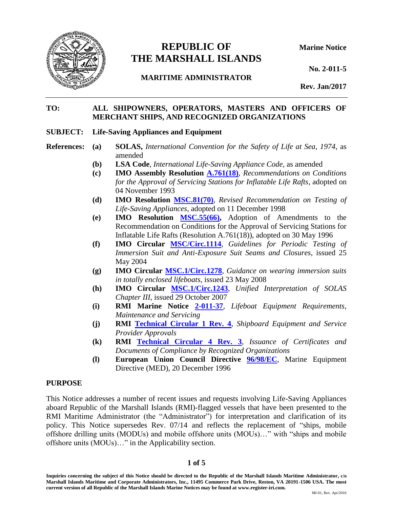

# **REPUBLIC OF Marine Notice THE MARSHALL ISLANDS**

**No. 2-011-5**

**MARITIME ADMINISTRATOR**

**Rev. Jan/2017**

## **TO: ALL SHIPOWNERS, OPERATORS, MASTERS AND OFFICERS OF MERCHANT SHIPS, AND RECOGNIZED ORGANIZATIONS**

#### **SUBJECT: Life-Saving Appliances and Equipment**

- **References: (a) SOLAS,** *International Convention for the Safety of Life at Sea, 1974*, as amended
	- **(b) LSA Code**, *International Life-Saving Appliance Code*, as amended
	- **(c) IMO Assembly Resolution [A.761\(18\)](http://www.register-iri.com/forms/upload/A_18_Resolution_761.pdf)**, *Recommendations on Conditions for the Approval of Servicing Stations for Inflatable Life Rafts*, adopted on 04 November 1993
	- **(d) IMO Resolution [MSC.81\(70\)](http://www.register-iri.com/forms/upload/MSC_Resolution_81(70).pdf)**, *Revised Recommendation on Testing of Life-Saving Appliances*, adopted on 11 December 1998
	- **(e) IMO Resolution [MSC.55\(66\),](http://www.register-iri.com/forms/upload/MSC_Resolution_55(66).pdf)** Adoption of Amendments to the Recommendation on Conditions for the Approval of Servicing Stations for Inflatable Life Rafts (Resolution A.761(18)), adopted on 30 May 1996
	- **(f) IMO Circular [MSC/Circ.1114](http://www.register-iri.com/forms/upload/MSC.1-Circ.1114.pdf)**, *Guidelines for Periodic Testing of Immersion Suit and Anti-Exposure Suit Seams and Closures*, issued 25 May 2004
	- **(g) IMO Circular [MSC.1/Circ.1278](http://www.register-iri.com/forms/upload/MSC.1-Circ.1278.pdf)**, *Guidance on wearing immersion suits in totally enclosed lifeboats*, issued 23 May 2008
	- **(h) IMO Circular [MSC.1/Circ.1243](http://www.register-iri.com/forms/upload/MSC.1-Circ.1243.pdf)**, *Unified Interpretation of SOLAS Chapter III*, issued 29 October 2007
	- **(i) RMI Marine Notice [2-011-37](http://www.register-iri.com/forms/upload/MN-2-011-37.pdf)**, *Lifeboat Equipment Requirements, Maintenance and Servicing*
	- **(j) RMI [Technical Circular 1 Rev. 4](http://www.register-iri.com/forms/upload/TechCirc-1-Rev-3.pdf)**, *Shipboard Equipment and Service Provider Approvals*
	- **(k) RMI [Technical Circular 4 Rev. 3](http://www.register-iri.com/forms/upload/TechCirc-4-Rev-3.pdf)**, *Issuance of Certificates and Documents of Compliance by Recognized Organizations*
	- **(l) European Union Council Directive [96/98/EC](http://eur-lex.europa.eu/legal-content/EN/TXT/PDF/?uri=CELEX:31996L0098&from=EN)**, Marine Equipment Directive (MED), 20 December 1996

## **PURPOSE**

This Notice addresses a number of recent issues and requests involving Life-Saving Appliances aboard Republic of the Marshall Islands (RMI)-flagged vessels that have been presented to the RMI Maritime Administrator (the "Administrator") for interpretation and clarification of its policy. This Notice supersedes Rev. 07/14 and reflects the replacement of "ships, mobile offshore drilling units (MODUs) and mobile offshore units (MOUs)…" with "ships and mobile offshore units (MOUs)…" in the Applicability section.

#### **1 of 5**

**Inquiries concerning the subject of this Notice should be directed to the Republic of the Marshall Islands Maritime Administrator, c/o Marshall Islands Maritime and Corporate Administrators, Inc., 11495 Commerce Park Drive, Reston, VA 20191-1506 USA. The most current version of all Republic of the Marshall Islands Marine Notices may be found at www.register-iri.com.**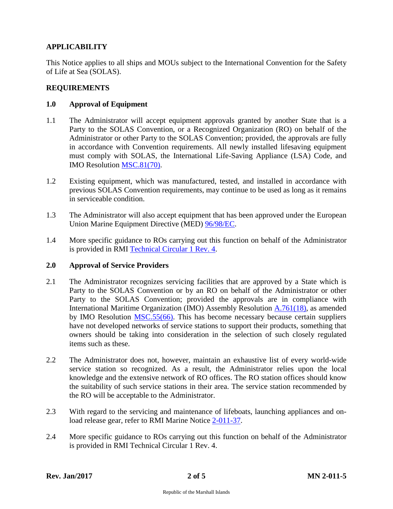# **APPLICABILITY**

This Notice applies to all ships and MOUs subject to the International Convention for the Safety of Life at Sea (SOLAS).

## **REQUIREMENTS**

## **1.0 Approval of Equipment**

- 1.1 The Administrator will accept equipment approvals granted by another State that is a Party to the SOLAS Convention, or a Recognized Organization (RO) on behalf of the Administrator or other Party to the SOLAS Convention; provided, the approvals are fully in accordance with Convention requirements. All newly installed lifesaving equipment must comply with SOLAS, the International Life-Saving Appliance (LSA) Code, and IMO Resolution [MSC.81\(70\).](http://www.register-iri.com/forms/upload/MSC_Resolution_81(70).pdf)
- 1.2 Existing equipment, which was manufactured, tested, and installed in accordance with previous SOLAS Convention requirements, may continue to be used as long as it remains in serviceable condition.
- 1.3 The Administrator will also accept equipment that has been approved under the European Union Marine Equipment Directive (MED) [96/98/EC.](http://eur-lex.europa.eu/legal-content/EN/TXT/PDF/?uri=CELEX:31996L0098&from=EN)
- 1.4 More specific guidance to ROs carrying out this function on behalf of the Administrator is provided in RMI [Technical Circular 1](http://www.register-iri.com/forms/upload/TechCirc-1-Rev-3.pdf) Rev. 4.

## **2.0 Approval of Service Providers**

- 2.1 The Administrator recognizes servicing facilities that are approved by a State which is Party to the SOLAS Convention or by an RO on behalf of the Administrator or other Party to the SOLAS Convention; provided the approvals are in compliance with International Maritime Organization (IMO) Assembly Resolution [A.761\(18\),](http://www.register-iri.com/forms/upload/A_18_Resolution_761.pdf) as amended by IMO Resolution [MSC.55\(66\).](http://www.register-iri.com/forms/upload/MSC_Resolution_55(66).pdf) This has become necessary because certain suppliers have not developed networks of service stations to support their products, something that owners should be taking into consideration in the selection of such closely regulated items such as these.
- 2.2 The Administrator does not, however, maintain an exhaustive list of every world-wide service station so recognized. As a result, the Administrator relies upon the local knowledge and the extensive network of RO offices. The RO station offices should know the suitability of such service stations in their area. The service station recommended by the RO will be acceptable to the Administrator.
- 2.3 With regard to the servicing and maintenance of lifeboats, launching appliances and onload release gear, refer to RMI Marine Notice [2-011-37.](http://www.register-iri.com/forms/upload/MN-2-011-37.pdf)
- 2.4 More specific guidance to ROs carrying out this function on behalf of the Administrator is provided in RMI Technical Circular 1 Rev. 4.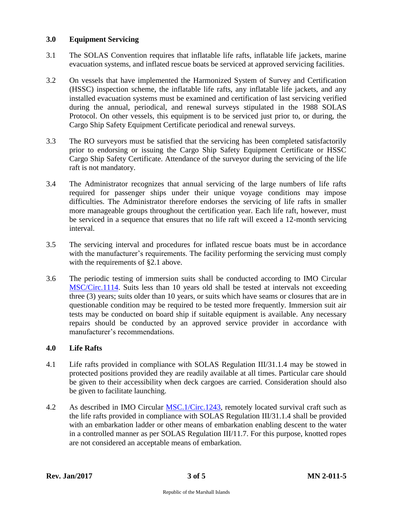# **3.0 Equipment Servicing**

- 3.1 The SOLAS Convention requires that inflatable life rafts, inflatable life jackets, marine evacuation systems, and inflated rescue boats be serviced at approved servicing facilities.
- 3.2 On vessels that have implemented the Harmonized System of Survey and Certification (HSSC) inspection scheme, the inflatable life rafts, any inflatable life jackets, and any installed evacuation systems must be examined and certification of last servicing verified during the annual, periodical, and renewal surveys stipulated in the 1988 SOLAS Protocol. On other vessels, this equipment is to be serviced just prior to, or during, the Cargo Ship Safety Equipment Certificate periodical and renewal surveys.
- 3.3 The RO surveyors must be satisfied that the servicing has been completed satisfactorily prior to endorsing or issuing the Cargo Ship Safety Equipment Certificate or HSSC Cargo Ship Safety Certificate. Attendance of the surveyor during the servicing of the life raft is not mandatory.
- 3.4 The Administrator recognizes that annual servicing of the large numbers of life rafts required for passenger ships under their unique voyage conditions may impose difficulties. The Administrator therefore endorses the servicing of life rafts in smaller more manageable groups throughout the certification year. Each life raft, however, must be serviced in a sequence that ensures that no life raft will exceed a 12-month servicing interval.
- 3.5 The servicing interval and procedures for inflated rescue boats must be in accordance with the manufacturer's requirements. The facility performing the servicing must comply with the requirements of §2.1 above.
- 3.6 The periodic testing of immersion suits shall be conducted according to IMO Circular [MSC/Circ.1114.](http://www.register-iri.com/forms/upload/MSC.1-Circ.1114.pdf) Suits less than 10 years old shall be tested at intervals not exceeding three (3) years; suits older than 10 years, or suits which have seams or closures that are in questionable condition may be required to be tested more frequently. Immersion suit air tests may be conducted on board ship if suitable equipment is available. Any necessary repairs should be conducted by an approved service provider in accordance with manufacturer's recommendations.

# **4.0 Life Rafts**

- 4.1 Life rafts provided in compliance with SOLAS Regulation III/31.1.4 may be stowed in protected positions provided they are readily available at all times. Particular care should be given to their accessibility when deck cargoes are carried. Consideration should also be given to facilitate launching.
- 4.2 As described in IMO Circular [MSC.1/Circ.1243,](http://www.register-iri.com/forms/upload/MSC.1-Circ.1243.pdf) remotely located survival craft such as the life rafts provided in compliance with SOLAS Regulation III/31.1.4 shall be provided with an embarkation ladder or other means of embarkation enabling descent to the water in a controlled manner as per SOLAS Regulation III/11.7. For this purpose, knotted ropes are not considered an acceptable means of embarkation.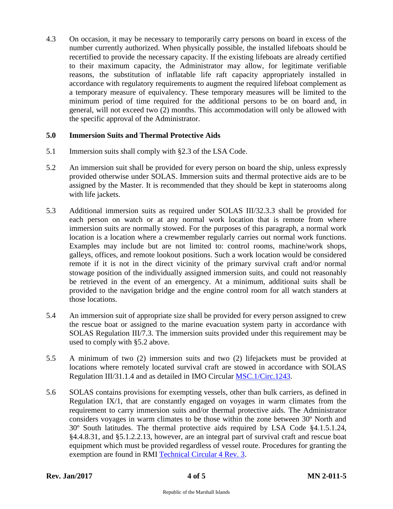4.3 On occasion, it may be necessary to temporarily carry persons on board in excess of the number currently authorized. When physically possible, the installed lifeboats should be recertified to provide the necessary capacity. If the existing lifeboats are already certified to their maximum capacity, the Administrator may allow, for legitimate verifiable reasons, the substitution of inflatable life raft capacity appropriately installed in accordance with regulatory requirements to augment the required lifeboat complement as a temporary measure of equivalency. These temporary measures will be limited to the minimum period of time required for the additional persons to be on board and, in general, will not exceed two (2) months. This accommodation will only be allowed with the specific approval of the Administrator.

## **5.0 Immersion Suits and Thermal Protective Aids**

- 5.1 Immersion suits shall comply with §2.3 of the LSA Code.
- 5.2 An immersion suit shall be provided for every person on board the ship, unless expressly provided otherwise under SOLAS. Immersion suits and thermal protective aids are to be assigned by the Master. It is recommended that they should be kept in staterooms along with life jackets.
- 5.3 Additional immersion suits as required under SOLAS III/32.3.3 shall be provided for each person on watch or at any normal work location that is remote from where immersion suits are normally stowed. For the purposes of this paragraph, a normal work location is a location where a crewmember regularly carries out normal work functions. Examples may include but are not limited to: control rooms, machine/work shops, galleys, offices, and remote lookout positions. Such a work location would be considered remote if it is not in the direct vicinity of the primary survival craft and/or normal stowage position of the individually assigned immersion suits, and could not reasonably be retrieved in the event of an emergency. At a minimum, additional suits shall be provided to the navigation bridge and the engine control room for all watch standers at those locations.
- 5.4 An immersion suit of appropriate size shall be provided for every person assigned to crew the rescue boat or assigned to the marine evacuation system party in accordance with SOLAS Regulation III/7.3. The immersion suits provided under this requirement may be used to comply with §5.2 above.
- 5.5 A minimum of two (2) immersion suits and two (2) lifejackets must be provided at locations where remotely located survival craft are stowed in accordance with SOLAS Regulation III/31.1.4 and as detailed in IMO Circular [MSC.1/Circ.1243.](http://www.register-iri.com/forms/upload/MSC.1-Circ.1243.pdf)
- 5.6 SOLAS contains provisions for exempting vessels, other than bulk carriers, as defined in Regulation  $IX/1$ , that are constantly engaged on voyages in warm climates from the requirement to carry immersion suits and/or thermal protective aids. The Administrator considers voyages in warm climates to be those within the zone between 30º North and 30º South latitudes. The thermal protective aids required by LSA Code §4.1.5.1.24, §4.4.8.31, and §5.1.2.2.13, however, are an integral part of survival craft and rescue boat equipment which must be provided regardless of vessel route. Procedures for granting the exemption are found in RMI [Technical Circular 4 Rev. 3.](http://www.register-iri.com/forms/upload/TechCirc-4-Rev-3.pdf)